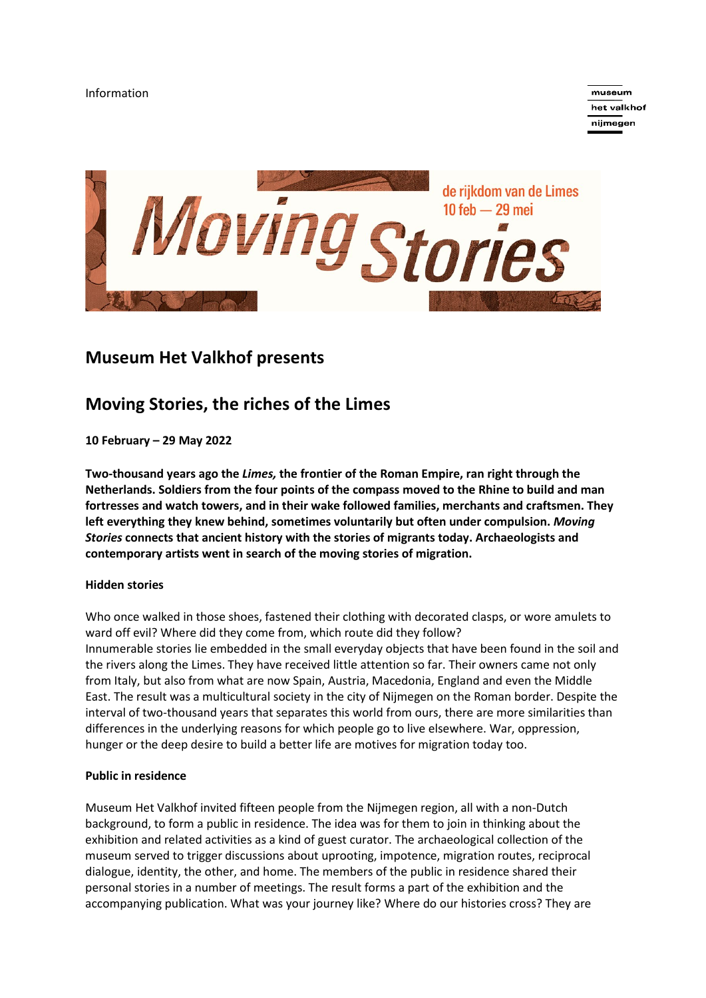

museum het valkhof nijmegen



# **Museum Het Valkhof presents**

# **Moving Stories, the riches of the Limes**

**10 February – 29 May 2022**

**Two-thousand years ago the** *Limes,* **the frontier of the Roman Empire, ran right through the Netherlands. Soldiers from the four points of the compass moved to the Rhine to build and man fortresses and watch towers, and in their wake followed families, merchants and craftsmen. They left everything they knew behind, sometimes voluntarily but often under compulsion.** *Moving Stories* **connects that ancient history with the stories of migrants today. Archaeologists and contemporary artists went in search of the moving stories of migration.**

### **Hidden stories**

Who once walked in those shoes, fastened their clothing with decorated clasps, or wore amulets to ward off evil? Where did they come from, which route did they follow? Innumerable stories lie embedded in the small everyday objects that have been found in the soil and the rivers along the Limes. They have received little attention so far. Their owners came not only from Italy, but also from what are now Spain, Austria, Macedonia, England and even the Middle East. The result was a multicultural society in the city of Nijmegen on the Roman border. Despite the interval of two-thousand years that separates this world from ours, there are more similarities than differences in the underlying reasons for which people go to live elsewhere. War, oppression, hunger or the deep desire to build a better life are motives for migration today too.

### **Public in residence**

Museum Het Valkhof invited fifteen people from the Nijmegen region, all with a non-Dutch background, to form a public in residence. The idea was for them to join in thinking about the exhibition and related activities as a kind of guest curator. The archaeological collection of the museum served to trigger discussions about uprooting, impotence, migration routes, reciprocal dialogue, identity, the other, and home. The members of the public in residence shared their personal stories in a number of meetings. The result forms a part of the exhibition and the accompanying publication. What was your journey like? Where do our histories cross? They are